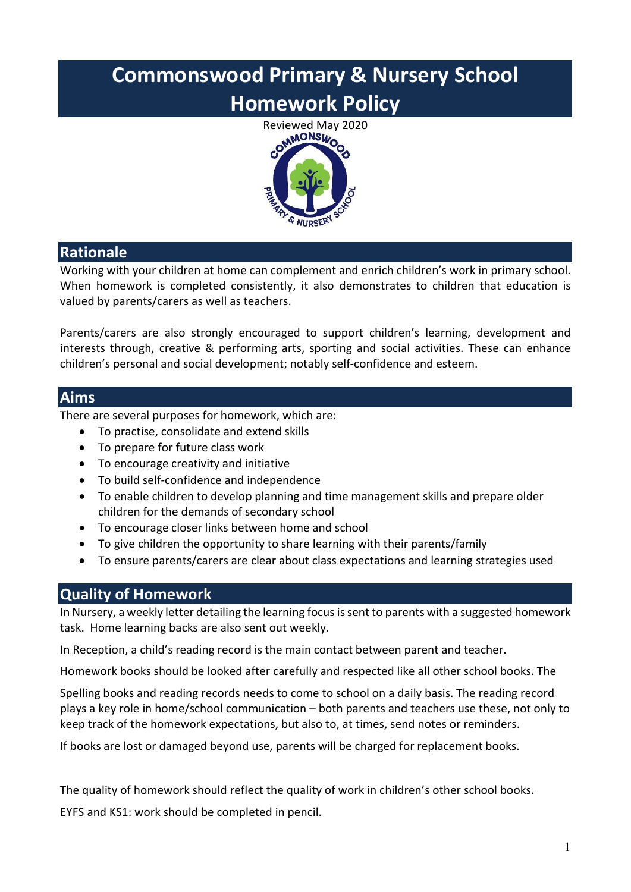# Commonswood Primary & Nursery School Homework Policy



### Rationale

Working with your children at home can complement and enrich children's work in primary school. When homework is completed consistently, it also demonstrates to children that education is valued by parents/carers as well as teachers.

Parents/carers are also strongly encouraged to support children's learning, development and interests through, creative & performing arts, sporting and social activities. These can enhance children's personal and social development; notably self-confidence and esteem.

#### Aims

There are several purposes for homework, which are:

- To practise, consolidate and extend skills
- To prepare for future class work
- To encourage creativity and initiative
- To build self-confidence and independence
- To enable children to develop planning and time management skills and prepare older children for the demands of secondary school
- To encourage closer links between home and school
- To give children the opportunity to share learning with their parents/family
- To ensure parents/carers are clear about class expectations and learning strategies used

#### Quality of Homework

In Nursery, a weekly letter detailing the learning focus is sent to parents with a suggested homework task. Home learning backs are also sent out weekly.

In Reception, a child's reading record is the main contact between parent and teacher.

Homework books should be looked after carefully and respected like all other school books. The

Spelling books and reading records needs to come to school on a daily basis. The reading record plays a key role in home/school communication – both parents and teachers use these, not only to keep track of the homework expectations, but also to, at times, send notes or reminders.

If books are lost or damaged beyond use, parents will be charged for replacement books.

The quality of homework should reflect the quality of work in children's other school books.

EYFS and KS1: work should be completed in pencil.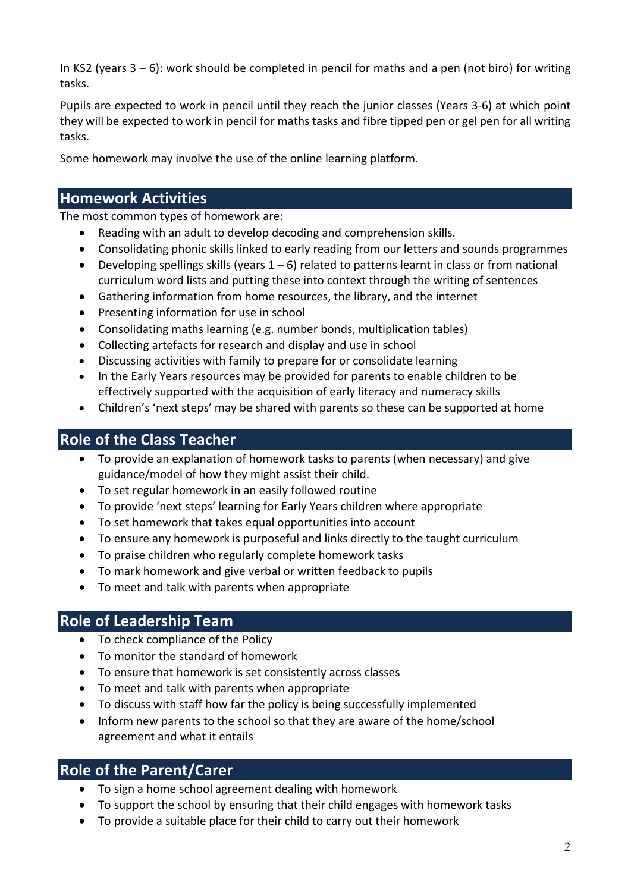In KS2 (years  $3 - 6$ ): work should be completed in pencil for maths and a pen (not biro) for writing tasks.

Pupils are expected to work in pencil until they reach the junior classes (Years 3-6) at which point they will be expected to work in pencil for maths tasks and fibre tipped pen or gel pen for all writing tasks.

Some homework may involve the use of the online learning platform.

#### Homework Activities

The most common types of homework are:

- Reading with an adult to develop decoding and comprehension skills.
- Consolidating phonic skills linked to early reading from our letters and sounds programmes
- $\bullet$  Developing spellings skills (years  $1-6$ ) related to patterns learnt in class or from national curriculum word lists and putting these into context through the writing of sentences
- Gathering information from home resources, the library, and the internet
- Presenting information for use in school
- Consolidating maths learning (e.g. number bonds, multiplication tables)
- Collecting artefacts for research and display and use in school
- Discussing activities with family to prepare for or consolidate learning
- In the Early Years resources may be provided for parents to enable children to be effectively supported with the acquisition of early literacy and numeracy skills
- Children's 'next steps' may be shared with parents so these can be supported at home

## Role of the Class Teacher

- To provide an explanation of homework tasks to parents (when necessary) and give guidance/model of how they might assist their child.
- To set regular homework in an easily followed routine
- To provide 'next steps' learning for Early Years children where appropriate
- To set homework that takes equal opportunities into account
- To ensure any homework is purposeful and links directly to the taught curriculum
- To praise children who regularly complete homework tasks
- To mark homework and give verbal or written feedback to pupils
- To meet and talk with parents when appropriate

#### Role of Leadership Team

- To check compliance of the Policy
- To monitor the standard of homework
- To ensure that homework is set consistently across classes
- To meet and talk with parents when appropriate
- To discuss with staff how far the policy is being successfully implemented
- Inform new parents to the school so that they are aware of the home/school agreement and what it entails

#### Role of the Parent/Carer

- To sign a home school agreement dealing with homework
- To support the school by ensuring that their child engages with homework tasks
- To provide a suitable place for their child to carry out their homework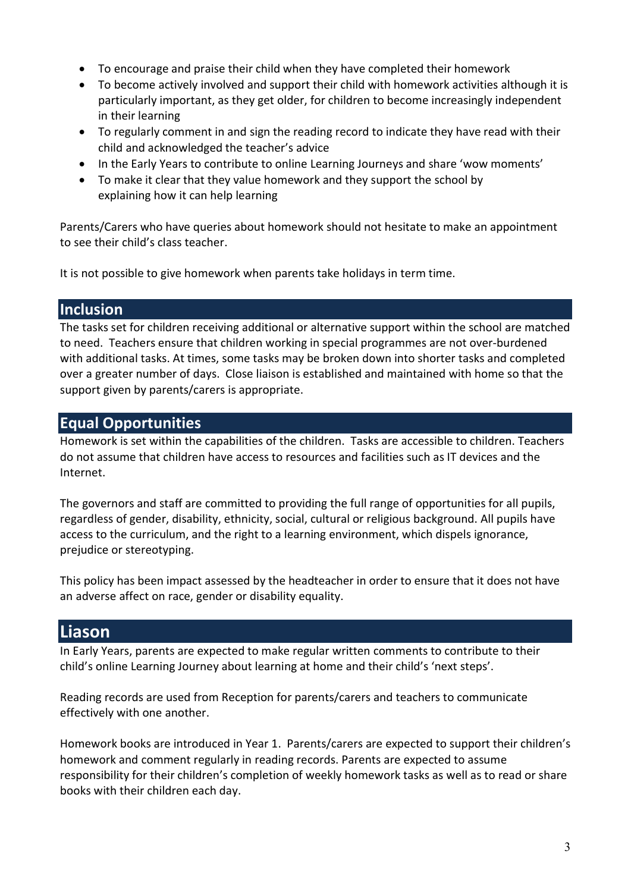- To encourage and praise their child when they have completed their homework
- To become actively involved and support their child with homework activities although it is particularly important, as they get older, for children to become increasingly independent in their learning
- To regularly comment in and sign the reading record to indicate they have read with their child and acknowledged the teacher's advice
- In the Early Years to contribute to online Learning Journeys and share 'wow moments'
- To make it clear that they value homework and they support the school by explaining how it can help learning

Parents/Carers who have queries about homework should not hesitate to make an appointment to see their child's class teacher.

It is not possible to give homework when parents take holidays in term time.

#### **Inclusion**

The tasks set for children receiving additional or alternative support within the school are matched to need. Teachers ensure that children working in special programmes are not over-burdened with additional tasks. At times, some tasks may be broken down into shorter tasks and completed over a greater number of days. Close liaison is established and maintained with home so that the support given by parents/carers is appropriate.

#### Equal Opportunities

Homework is set within the capabilities of the children. Tasks are accessible to children. Teachers do not assume that children have access to resources and facilities such as IT devices and the Internet.

The governors and staff are committed to providing the full range of opportunities for all pupils, regardless of gender, disability, ethnicity, social, cultural or religious background. All pupils have access to the curriculum, and the right to a learning environment, which dispels ignorance, prejudice or stereotyping.

This policy has been impact assessed by the headteacher in order to ensure that it does not have an adverse affect on race, gender or disability equality.

### **Liason**

In Early Years, parents are expected to make regular written comments to contribute to their child's online Learning Journey about learning at home and their child's 'next steps'.

Reading records are used from Reception for parents/carers and teachers to communicate effectively with one another.

Homework books are introduced in Year 1. Parents/carers are expected to support their children's homework and comment regularly in reading records. Parents are expected to assume responsibility for their children's completion of weekly homework tasks as well as to read or share books with their children each day.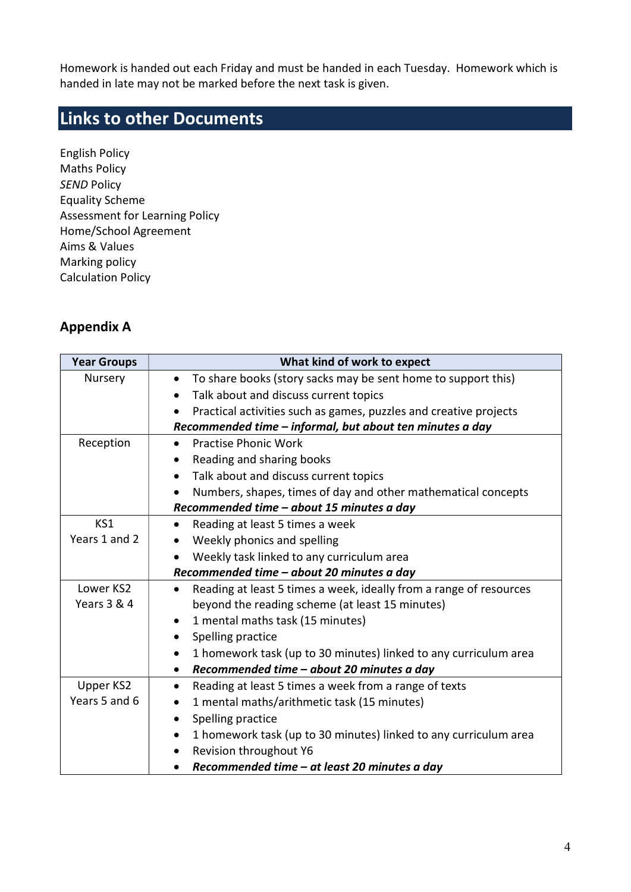Homework is handed out each Friday and must be handed in each Tuesday. Homework which is handed in late may not be marked before the next task is given.

# Links to other Documents

English Policy Maths Policy **SEND Policy** Equality Scheme Assessment for Learning Policy Home/School Agreement Aims & Values Marking policy Calculation Policy

#### Appendix A

| <b>Year Groups</b> | What kind of work to expect                                                     |  |  |
|--------------------|---------------------------------------------------------------------------------|--|--|
| Nursery            | To share books (story sacks may be sent home to support this)<br>$\bullet$      |  |  |
|                    | Talk about and discuss current topics<br>$\bullet$                              |  |  |
|                    | Practical activities such as games, puzzles and creative projects               |  |  |
|                    | Recommended time - informal, but about ten minutes a day                        |  |  |
| Reception          | <b>Practise Phonic Work</b>                                                     |  |  |
|                    | Reading and sharing books<br>$\bullet$                                          |  |  |
|                    | Talk about and discuss current topics<br>$\bullet$                              |  |  |
|                    | Numbers, shapes, times of day and other mathematical concepts<br>$\bullet$      |  |  |
|                    | Recommended time - about 15 minutes a day                                       |  |  |
| KS1                | Reading at least 5 times a week<br>$\bullet$                                    |  |  |
| Years 1 and 2      | Weekly phonics and spelling                                                     |  |  |
|                    | Weekly task linked to any curriculum area                                       |  |  |
|                    | Recommended time - about 20 minutes a day                                       |  |  |
| Lower KS2          | Reading at least 5 times a week, ideally from a range of resources<br>$\bullet$ |  |  |
| Years 3 & 4        | beyond the reading scheme (at least 15 minutes)                                 |  |  |
|                    | 1 mental maths task (15 minutes)<br>$\bullet$                                   |  |  |
|                    | Spelling practice                                                               |  |  |
|                    | 1 homework task (up to 30 minutes) linked to any curriculum area<br>$\bullet$   |  |  |
|                    | Recommended time - about 20 minutes a day<br>$\bullet$                          |  |  |
| Upper KS2          | Reading at least 5 times a week from a range of texts<br>٠                      |  |  |
| Years 5 and 6      | 1 mental maths/arithmetic task (15 minutes)<br>٠                                |  |  |
|                    | Spelling practice<br>$\bullet$                                                  |  |  |
|                    | 1 homework task (up to 30 minutes) linked to any curriculum area<br>$\bullet$   |  |  |
|                    | Revision throughout Y6<br>$\bullet$                                             |  |  |
|                    | Recommended time - at least 20 minutes a day                                    |  |  |